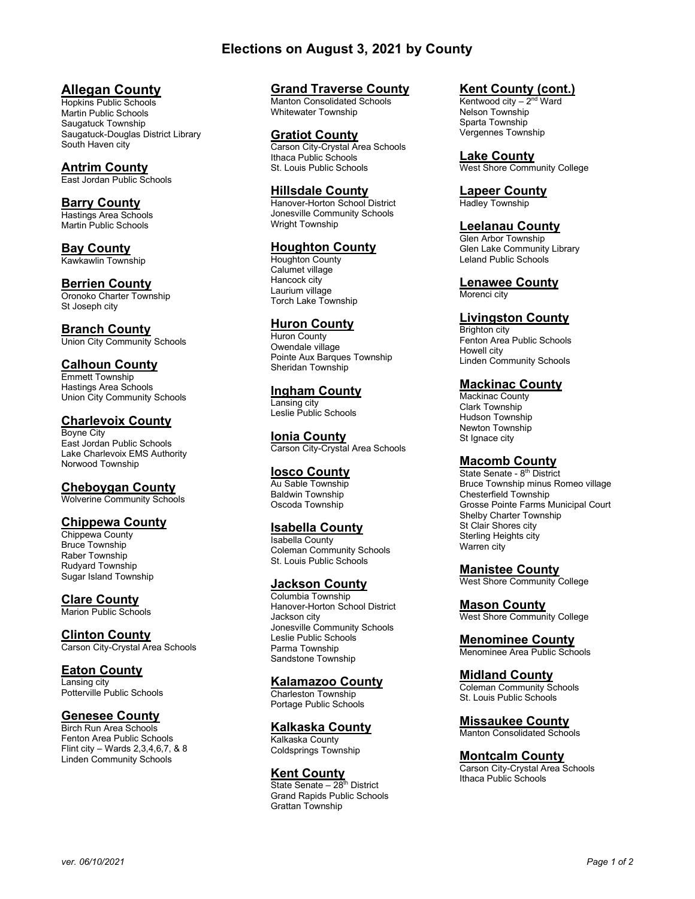# Elections on August 3, 2021 by County

# Allegan County

Hopkins Public Schools Martin Public Schools Saugatuck Township Saugatuck-Douglas District Library South Haven city

## Antrim County

East Jordan Public Schools

## Barry County

Hastings Area Schools Martin Public Schools

#### Bay County Kawkawlin Township

Berrien County Oronoko Charter Township

St Joseph city

# Branch County

Union City Community Schools

## Calhoun County

Emmett Township Hastings Area Schools Union City Community Schools

## Charlevoix County

Boyne City East Jordan Public Schools Lake Charlevoix EMS Authority Norwood Township

## Cheboygan County

Wolverine Community Schools

#### Chippewa County

Chippewa County Bruce Township Raber Township Rudyard Township Sugar Island Township

**Clare County** Marion Public Schools

#### Clinton County

Carson City-Crystal Area Schools

## Eaton County

Lansing city Potterville Public Schools

## Genesee County

Birch Run Area Schools Fenton Area Public Schools Flint city – Wards 2,3,4,6,7, & 8 Linden Community Schools

### Grand Traverse County

Manton Consolidated Schools Whitewater Township

#### Gratiot County

Carson City-Crystal Area Schools Ithaca Public Schools St. Louis Public Schools

## Hillsdale County

Hanover-Horton School District Jonesville Community Schools Wright Township

## Houghton County

Houghton County Calumet village Hancock city Laurium village Torch Lake Township

## **Huron County**

Huron County Owendale village Pointe Aux Barques Township Sheridan Township

Ingham County Lansing city Leslie Public Schools

Ionia County Carson City-Crystal Area Schools

## Iosco County

Au Sable Township Baldwin Township Oscoda Township

## Isabella County

Isabella County Coleman Community Schools St. Louis Public Schools

## Jackson County

Columbia Township Hanover-Horton School District Jackson city Jonesville Community Schools Leslie Public Schools Parma Township Sandstone Township

#### Kalamazoo County

Charleston Township Portage Public Schools

## Kalkaska County

Kalkaska County Coldsprings Township

### **Kent County**

State Senate – 28<sup>th</sup> District Grand Rapids Public Schools Grattan Township

#### Kent County (cont.)

Kentwood city  $-2<sup>nd</sup>$  Ward Nelson Township Sparta Township Vergennes Township

Lake County

West Shore Community College

## Lapeer County

Hadley Township

#### Leelanau County

Glen Arbor Township Glen Lake Community Library Leland Public Schools

Lenawee County Morenci city

#### Livingston County

Brighton city Fenton Area Public Schools Howell city Linden Community Schools

## **Mackinac County**

Mackinac County Clark Township Hudson Township Newton Township St Ignace city

#### **Macomb County**

State Senate - 8<sup>th</sup> District Bruce Township minus Romeo village Chesterfield Township Grosse Pointe Farms Municipal Court Shelby Charter Township St Clair Shores city Sterling Heights city Warren city

#### Manistee County

West Shore Community College

## **Mason County**

West Shore Community College

#### Menominee County

Menominee Area Public Schools

## Midland County

Coleman Community Schools St. Louis Public Schools

## Missaukee County

Manton Consolidated Schools

#### Montcalm County

Carson City-Crystal Area Schools Ithaca Public Schools